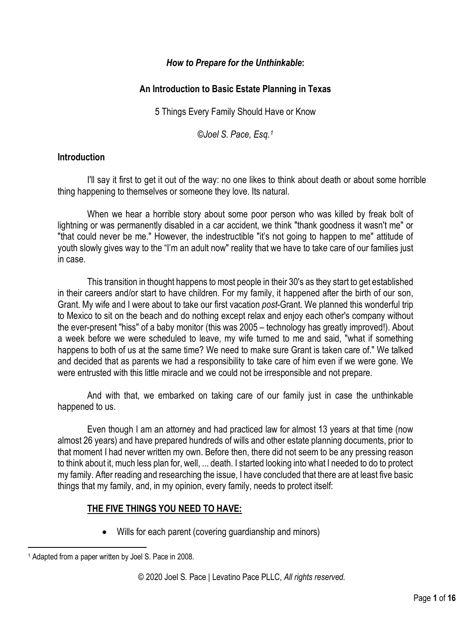# *How to Prepare for the Unthinkable***:**

# **An Introduction to Basic Estate Planning in Texas**

5 Things Every Family Should Have or Know

*©Joel S. Pace, Esq.[1](#page-0-0)*

# **Introduction**

I'll say it first to get it out of the way: no one likes to think about death or about some horrible thing happening to themselves or someone they love. Its natural.

When we hear a horrible story about some poor person who was killed by freak bolt of lightning or was permanently disabled in a car accident, we think "thank goodness it wasn't me" or "that could never be me." However, the indestructible "it's not going to happen to me" attitude of youth slowly gives way to the "I'm an adult now" reality that we have to take care of our families just in case.

This transition in thought happens to most people in their 30's as they start to get established in their careers and/or start to have children. For my family, it happened after the birth of our son, Grant. My wife and I were about to take our first vacation *post*-Grant. We planned this wonderful trip to Mexico to sit on the beach and do nothing except relax and enjoy each other's company without the ever-present "hiss" of a baby monitor (this was 2005 – technology has greatly improved!). About a week before we were scheduled to leave, my wife turned to me and said, "what if something happens to both of us at the same time? We need to make sure Grant is taken care of." We talked and decided that as parents we had a responsibility to take care of him even if we were gone. We were entrusted with this little miracle and we could not be irresponsible and not prepare.

And with that, we embarked on taking care of our family just in case the unthinkable happened to us.

Even though I am an attorney and had practiced law for almost 13 years at that time (now almost 26 years) and have prepared hundreds of wills and other estate planning documents, prior to that moment I had never written my own. Before then, there did not seem to be any pressing reason to think about it, much less plan for, well, ... death. I started looking into what I needed to do to protect my family. After reading and researching the issue, I have concluded that there are at least five basic things that my family, and, in my opinion, every family, needs to protect itself:

# **THE FIVE THINGS YOU NEED TO HAVE:**

• Wills for each parent (covering guardianship and minors)

<span id="page-0-0"></span><sup>1</sup> Adapted from a paper written by Joel S. Pace in 2008.

<sup>©</sup> 2020 Joel S. Pace | Levatino Pace PLLC, *All rights reserved.*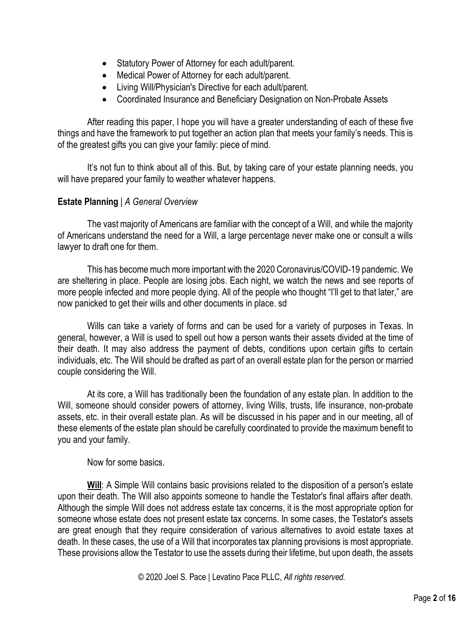- Statutory Power of Attorney for each adult/parent.
- Medical Power of Attorney for each adult/parent.
- Living Will/Physician's Directive for each adult/parent.
- Coordinated Insurance and Beneficiary Designation on Non-Probate Assets

After reading this paper, I hope you will have a greater understanding of each of these five things and have the framework to put together an action plan that meets your family's needs. This is of the greatest gifts you can give your family: piece of mind.

It's not fun to think about all of this. But, by taking care of your estate planning needs, you will have prepared your family to weather whatever happens.

### **Estate Planning** | *A General Overview*

The vast majority of Americans are familiar with the concept of a Will, and while the majority of Americans understand the need for a Will, a large percentage never make one or consult a wills lawyer to draft one for them.

This has become much more important with the 2020 Coronavirus/COVID-19 pandemic. We are sheltering in place. People are losing jobs. Each night, we watch the news and see reports of more people infected and more people dying. All of the people who thought "I'll get to that later," are now panicked to get their wills and other documents in place. sd

Wills can take a variety of forms and can be used for a variety of purposes in Texas. In general, however, a Will is used to spell out how a person wants their assets divided at the time of their death. It may also address the payment of debts, conditions upon certain gifts to certain individuals, etc. The Will should be drafted as part of an overall estate plan for the person or married couple considering the Will.

At its core, a Will has traditionally been the foundation of any estate plan. In addition to the Will, someone should consider powers of attorney, living Wills, trusts, life insurance, non-probate assets, etc. in their overall estate plan. As will be discussed in his paper and in our meeting, all of these elements of the estate plan should be carefully coordinated to provide the maximum benefit to you and your family.

Now for some basics.

**Will**: A Simple Will contains basic provisions related to the disposition of a person's estate upon their death. The Will also appoints someone to handle the Testator's final affairs after death. Although the simple Will does not address estate tax concerns, it is the most appropriate option for someone whose estate does not present estate tax concerns. In some cases, the Testator's assets are great enough that they require consideration of various alternatives to avoid estate taxes at death. In these cases, the use of a Will that incorporates tax planning provisions is most appropriate. These provisions allow the Testator to use the assets during their lifetime, but upon death, the assets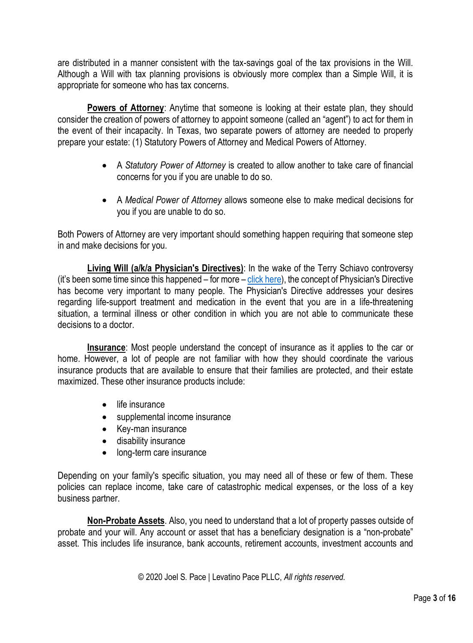are distributed in a manner consistent with the tax-savings goal of the tax provisions in the Will. Although a Will with tax planning provisions is obviously more complex than a Simple Will, it is appropriate for someone who has tax concerns.

**Powers of Attorney:** Anytime that someone is looking at their estate plan, they should consider the creation of powers of attorney to appoint someone (called an "agent") to act for them in the event of their incapacity. In Texas, two separate powers of attorney are needed to properly prepare your estate: (1) Statutory Powers of Attorney and Medical Powers of Attorney.

- A *Statutory Power of Attorney* is created to allow another to take care of financial concerns for you if you are unable to do so.
- A *Medical Power of Attorney* allows someone else to make medical decisions for you if you are unable to do so.

Both Powers of Attorney are very important should something happen requiring that someone step in and make decisions for you.

**Living Will (a/k/a Physician's Directives)**: In the wake of the Terry Schiavo controversy (it's been some time since this happened – for more – [click here\)](https://en.wikipedia.org/wiki/Terri_Schiavo_case), the concept of Physician's Directive has become very important to many people. The Physician's Directive addresses your desires regarding life-support treatment and medication in the event that you are in a life-threatening situation, a terminal illness or other condition in which you are not able to communicate these decisions to a doctor.

**Insurance**: Most people understand the concept of insurance as it applies to the car or home. However, a lot of people are not familiar with how they should coordinate the various insurance products that are available to ensure that their families are protected, and their estate maximized. These other insurance products include:

- life insurance
- supplemental income insurance
- Key-man insurance
- disability insurance
- long-term care insurance

Depending on your family's specific situation, you may need all of these or few of them. These policies can replace income, take care of catastrophic medical expenses, or the loss of a key business partner.

**Non-Probate Assets**. Also, you need to understand that a lot of property passes outside of probate and your will. Any account or asset that has a beneficiary designation is a "non-probate" asset. This includes life insurance, bank accounts, retirement accounts, investment accounts and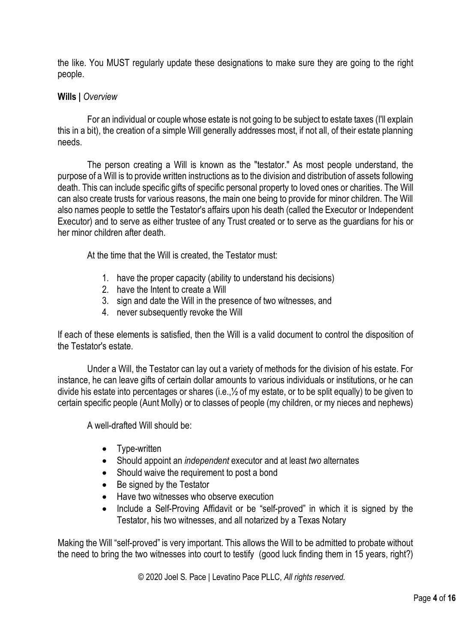the like. You MUST regularly update these designations to make sure they are going to the right people.

#### **Wills |** *Overview*

For an individual or couple whose estate is not going to be subject to estate taxes (I'll explain this in a bit), the creation of a simple Will generally addresses most, if not all, of their estate planning needs.

The person creating a Will is known as the "testator." As most people understand, the purpose of a Will is to provide written instructions as to the division and distribution of assets following death. This can include specific gifts of specific personal property to loved ones or charities. The Will can also create trusts for various reasons, the main one being to provide for minor children. The Will also names people to settle the Testator's affairs upon his death (called the Executor or Independent Executor) and to serve as either trustee of any Trust created or to serve as the guardians for his or her minor children after death.

At the time that the Will is created, the Testator must:

- 1. have the proper capacity (ability to understand his decisions)
- 2. have the Intent to create a Will
- 3. sign and date the Will in the presence of two witnesses, and
- 4. never subsequently revoke the Will

If each of these elements is satisfied, then the Will is a valid document to control the disposition of the Testator's estate.

Under a Will, the Testator can lay out a variety of methods for the division of his estate. For instance, he can leave gifts of certain dollar amounts to various individuals or institutions, or he can divide his estate into percentages or shares (i.e.,½ of my estate, or to be split equally) to be given to certain specific people (Aunt Molly) or to classes of people (my children, or my nieces and nephews)

A well-drafted Will should be:

- Type-written
- Should appoint an *independent* executor and at least *two* alternates
- Should waive the requirement to post a bond
- Be signed by the Testator
- Have two witnesses who observe execution
- Include a Self-Proving Affidavit or be "self-proved" in which it is signed by the Testator, his two witnesses, and all notarized by a Texas Notary

Making the Will "self-proved" is very important. This allows the Will to be admitted to probate without the need to bring the two witnesses into court to testify (good luck finding them in 15 years, right?)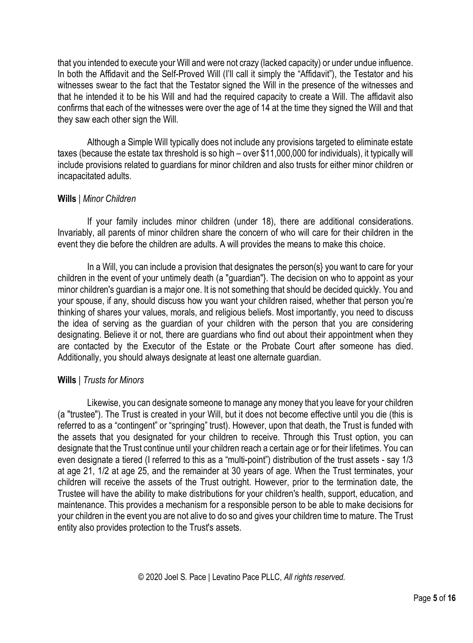that you intended to execute your Will and were not crazy (lacked capacity) or under undue influence. In both the Affidavit and the Self-Proved Will (I'll call it simply the "Affidavit"), the Testator and his witnesses swear to the fact that the Testator signed the Will in the presence of the witnesses and that he intended it to be his Will and had the required capacity to create a Will. The affidavit also confirms that each of the witnesses were over the age of 14 at the time they signed the Will and that they saw each other sign the Will.

Although a Simple Will typically does not include any provisions targeted to eliminate estate taxes (because the estate tax threshold is so high – over \$11,000,000 for individuals), it typically will include provisions related to guardians for minor children and also trusts for either minor children or incapacitated adults.

#### **Wills** | *Minor Children*

If your family includes minor children (under 18), there are additional considerations. Invariably, all parents of minor children share the concern of who will care for their children in the event they die before the children are adults. A will provides the means to make this choice.

In a Will, you can include a provision that designates the person(s} you want to care for your children in the event of your untimely death (a "guardian"}. The decision on who to appoint as your minor children's guardian is a major one. It is not something that should be decided quickly. You and your spouse, if any, should discuss how you want your children raised, whether that person you're thinking of shares your values, morals, and religious beliefs. Most importantly, you need to discuss the idea of serving as the guardian of your children with the person that you are considering designating. Believe it or not, there are guardians who find out about their appointment when they are contacted by the Executor of the Estate or the Probate Court after someone has died. Additionally, you should always designate at least one alternate guardian.

### **Wills** | *Trusts for Minors*

Likewise, you can designate someone to manage any money that you leave for your children (a "trustee"). The Trust is created in your Will, but it does not become effective until you die (this is referred to as a "contingent" or "springing" trust). However, upon that death, the Trust is funded with the assets that you designated for your children to receive. Through this Trust option, you can designate that the Trust continue until your children reach a certain age or for their lifetimes. You can even designate a tiered (I referred to this as a "multi-point") distribution of the trust assets - say 1/3 at age 21, 1/2 at age 25, and the remainder at 30 years of age. When the Trust terminates, your children will receive the assets of the Trust outright. However, prior to the termination date, the Trustee will have the ability to make distributions for your children's health, support, education, and maintenance. This provides a mechanism for a responsible person to be able to make decisions for your children in the event you are not alive to do so and gives your children time to mature. The Trust entity also provides protection to the Trust's assets.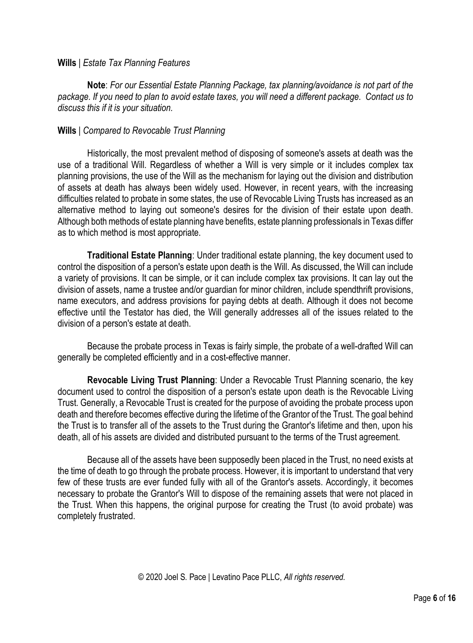#### **Wills** | *Estate Tax Planning Features*

**Note**: *For our Essential Estate Planning Package, tax planning/avoidance is not part of the package. If you need to plan to avoid estate taxes, you will need a different package. Contact us to discuss this if it is your situation.* 

#### **Wills** | *Compared to Revocable Trust Planning*

Historically, the most prevalent method of disposing of someone's assets at death was the use of a traditional Will. Regardless of whether a Will is very simple or it includes complex tax planning provisions, the use of the Will as the mechanism for laying out the division and distribution of assets at death has always been widely used. However, in recent years, with the increasing difficulties related to probate in some states, the use of Revocable Living Trusts has increased as an alternative method to laying out someone's desires for the division of their estate upon death. Although both methods of estate planning have benefits, estate planning professionals in Texas differ as to which method is most appropriate.

**Traditional Estate Planning**: Under traditional estate planning, the key document used to control the disposition of a person's estate upon death is the Will. As discussed, the Will can include a variety of provisions. It can be simple, or it can include complex tax provisions. It can lay out the division of assets, name a trustee and/or guardian for minor children, include spendthrift provisions, name executors, and address provisions for paying debts at death. Although it does not become effective until the Testator has died, the Will generally addresses all of the issues related to the division of a person's estate at death.

Because the probate process in Texas is fairly simple, the probate of a well-drafted Will can generally be completed efficiently and in a cost-effective manner.

**Revocable Living Trust Planning**: Under a Revocable Trust Planning scenario, the key document used to control the disposition of a person's estate upon death is the Revocable Living Trust. Generally, a Revocable Trust is created for the purpose of avoiding the probate process upon death and therefore becomes effective during the lifetime of the Grantor of the Trust. The goal behind the Trust is to transfer all of the assets to the Trust during the Grantor's lifetime and then, upon his death, all of his assets are divided and distributed pursuant to the terms of the Trust agreement.

Because all of the assets have been supposedly been placed in the Trust, no need exists at the time of death to go through the probate process. However, it is important to understand that very few of these trusts are ever funded fully with all of the Grantor's assets. Accordingly, it becomes necessary to probate the Grantor's Will to dispose of the remaining assets that were not placed in the Trust. When this happens, the original purpose for creating the Trust (to avoid probate) was completely frustrated.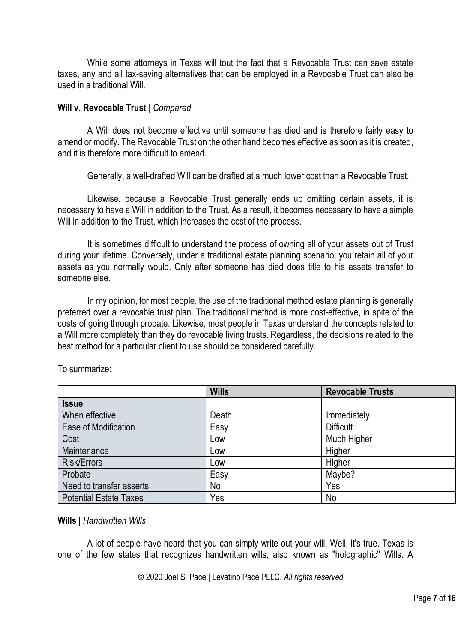While some attorneys in Texas will tout the fact that a Revocable Trust can save estate taxes, any and all tax-saving alternatives that can be employed in a Revocable Trust can also be used in a traditional Will.

#### **Will v. Revocable Trust** | *Compared*

A Will does not become effective until someone has died and is therefore fairly easy to amend or modify. The Revocable Trust on the other hand becomes effective as soon as it is created, and it is therefore more difficult to amend.

Generally, a well-drafted Will can be drafted at a much lower cost than a Revocable Trust.

Likewise, because a Revocable Trust generally ends up omitting certain assets, it is necessary to have a Will in addition to the Trust. As a result, it becomes necessary to have a simple Will in addition to the Trust, which increases the cost of the process.

It is sometimes difficult to understand the process of owning all of your assets out of Trust during your lifetime. Conversely, under a traditional estate planning scenario, you retain all of your assets as you normally would. Only after someone has died does title to his assets transfer to someone else.

In my opinion, for most people, the use of the traditional method estate planning is generally preferred over a revocable trust plan. The traditional method is more cost-effective, in spite of the costs of going through probate. Likewise, most people in Texas understand the concepts related to a Will more completely than they do revocable living trusts. Regardless, the decisions related to the best method for a particular client to use should be considered carefully.

|                               | <b>Wills</b> | <b>Revocable Trusts</b> |
|-------------------------------|--------------|-------------------------|
| <b>Issue</b>                  |              |                         |
| When effective                | Death        | Immediately             |
| Ease of Modification          | Easy         | <b>Difficult</b>        |
| Cost                          | Low          | Much Higher             |
| Maintenance                   | Low          | Higher                  |
| <b>Risk/Errors</b>            | Low          | Higher                  |
| Probate                       | Easy         | Maybe?                  |
| Need to transfer asserts      | No           | Yes                     |
| <b>Potential Estate Taxes</b> | Yes          | No                      |

To summarize:

#### **Wills** | *Handwritten Wills*

A lot of people have heard that you can simply write out your will. Well, it's true. Texas is one of the few states that recognizes handwritten wills, also known as "holographic" Wills. A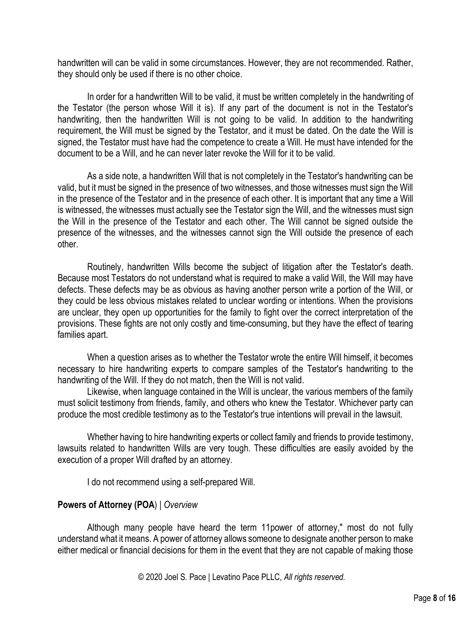handwritten will can be valid in some circumstances. However, they are not recommended. Rather, they should only be used if there is no other choice.

In order for a handwritten Will to be valid, it must be written completely in the handwriting of the Testator (the person whose Will it is). If any part of the document is not in the Testator's handwriting, then the handwritten Will is not going to be valid. In addition to the handwriting requirement, the Will must be signed by the Testator, and it must be dated. On the date the Will is signed, the Testator must have had the competence to create a Will. He must have intended for the document to be a Will, and he can never later revoke the Will for it to be valid.

As a side note, a handwritten Will that is not completely in the Testator's handwriting can be valid, but it must be signed in the presence of two witnesses, and those witnesses must sign the Will in the presence of the Testator and in the presence of each other. It is important that any time a Will is witnessed, the witnesses must actually see the Testator sign the Will, and the witnesses must sign the Will in the presence of the Testator and each other. The Will cannot be signed outside the presence of the witnesses, and the witnesses cannot sign the Will outside the presence of each other.

Routinely, handwritten Wills become the subject of litigation after the Testator's death. Because most Testators do not understand what is required to make a valid Will, the Will may have defects. These defects may be as obvious as having another person write a portion of the Will, or they could be less obvious mistakes related to unclear wording or intentions. When the provisions are unclear, they open up opportunities for the family to fight over the correct interpretation of the provisions. These fights are not only costly and time-consuming, but they have the effect of tearing families apart.

When a question arises as to whether the Testator wrote the entire Will himself, it becomes necessary to hire handwriting experts to compare samples of the Testator's handwriting to the handwriting of the Will. If they do not match, then the Will is not valid.

Likewise, when language contained in the Will is unclear, the various members of the family must solicit testimony from friends, family, and others who knew the Testator. Whichever party can produce the most credible testimony as to the Testator's true intentions will prevail in the lawsuit.

Whether having to hire handwriting experts or collect family and friends to provide testimony, lawsuits related to handwritten Wills are very tough. These difficulties are easily avoided by the execution of a proper Will drafted by an attorney.

I do not recommend using a self-prepared Will.

### **Powers of Attorney (POA**) | *Overview*

Although many people have heard the term 11power of attorney," most do not fully understand what it means. A power of attorney allows someone to designate another person to make either medical or financial decisions for them in the event that they are not capable of making those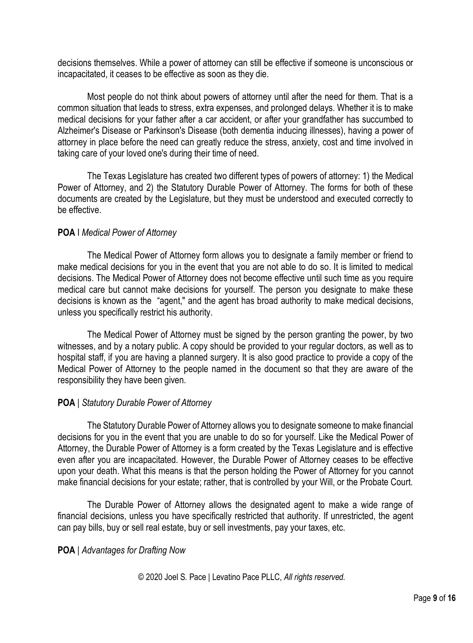decisions themselves. While a power of attorney can still be effective if someone is unconscious or incapacitated, it ceases to be effective as soon as they die.

Most people do not think about powers of attorney until after the need for them. That is a common situation that leads to stress, extra expenses, and prolonged delays. Whether it is to make medical decisions for your father after a car accident, or after your grandfather has succumbed to Alzheimer's Disease or Parkinson's Disease (both dementia inducing illnesses), having a power of attorney in place before the need can greatly reduce the stress, anxiety, cost and time involved in taking care of your loved one's during their time of need.

The Texas Legislature has created two different types of powers of attorney: 1) the Medical Power of Attorney, and 2) the Statutory Durable Power of Attorney. The forms for both of these documents are created by the Legislature, but they must be understood and executed correctly to be effective.

# **POA** I *Medical Power of Attorney*

The Medical Power of Attorney form allows you to designate a family member or friend to make medical decisions for you in the event that you are not able to do so. It is limited to medical decisions. The Medical Power of Attorney does not become effective until such time as you require medical care but cannot make decisions for yourself. The person you designate to make these decisions is known as the "agent," and the agent has broad authority to make medical decisions, unless you specifically restrict his authority.

The Medical Power of Attorney must be signed by the person granting the power, by two witnesses, and by a notary public. A copy should be provided to your regular doctors, as well as to hospital staff, if you are having a planned surgery. It is also good practice to provide a copy of the Medical Power of Attorney to the people named in the document so that they are aware of the responsibility they have been given.

### **POA** | *Statutory Durable Power of Attorney*

The Statutory Durable Power of Attorney allows you to designate someone to make financial decisions for you in the event that you are unable to do so for yourself. Like the Medical Power of Attorney, the Durable Power of Attorney is a form created by the Texas Legislature and is effective even after you are incapacitated. However, the Durable Power of Attorney ceases to be effective upon your death. What this means is that the person holding the Power of Attorney for you cannot make financial decisions for your estate; rather, that is controlled by your Will, or the Probate Court.

The Durable Power of Attorney allows the designated agent to make a wide range of financial decisions, unless you have specifically restricted that authority. If unrestricted, the agent can pay bills, buy or sell real estate, buy or sell investments, pay your taxes, etc.

### **POA** | *Advantages for Drafting Now*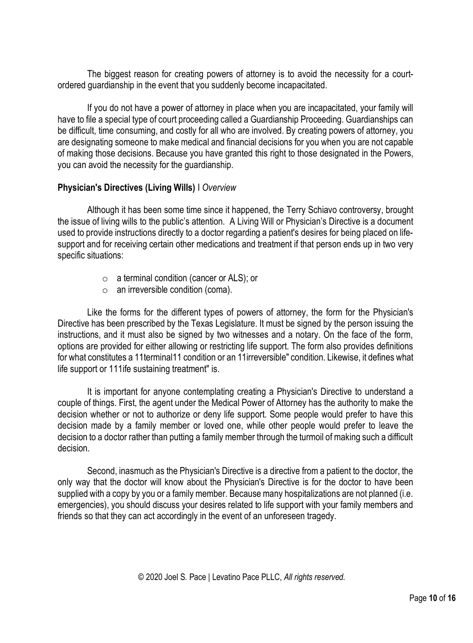The biggest reason for creating powers of attorney is to avoid the necessity for a courtordered guardianship in the event that you suddenly become incapacitated.

If you do not have a power of attorney in place when you are incapacitated, your family will have to file a special type of court proceeding called a Guardianship Proceeding. Guardianships can be difficult, time consuming, and costly for all who are involved. By creating powers of attorney, you are designating someone to make medical and financial decisions for you when you are not capable of making those decisions. Because you have granted this right to those designated in the Powers, you can avoid the necessity for the guardianship.

### **Physician's Directives (Living Wills)** I *Overview*

Although it has been some time since it happened, the Terry Schiavo controversy, brought the issue of living wills to the public's attention. A Living Will or Physician's Directive is a document used to provide instructions directly to a doctor regarding a patient's desires for being placed on lifesupport and for receiving certain other medications and treatment if that person ends up in two very specific situations:

- o a terminal condition (cancer or ALS); or
- o an irreversible condition (coma).

Like the forms for the different types of powers of attorney, the form for the Physician's Directive has been prescribed by the Texas Legislature. It must be signed by the person issuing the instructions, and it must also be signed by two witnesses and a notary. On the face of the form, options are provided for either allowing or restricting life support. The form also provides definitions for what constitutes a 11terminal11 condition or an 11irreversible" condition. Likewise, it defines what life support or 111ife sustaining treatment" is.

It is important for anyone contemplating creating a Physician's Directive to understand a couple of things. First, the agent under the Medical Power of Attorney has the authority to make the decision whether or not to authorize or deny life support. Some people would prefer to have this decision made by a family member or loved one, while other people would prefer to leave the decision to a doctor rather than putting a family member through the turmoil of making such a difficult decision.

Second, inasmuch as the Physician's Directive is a directive from a patient to the doctor, the only way that the doctor will know about the Physician's Directive is for the doctor to have been supplied with a copy by you or a family member. Because many hospitalizations are not planned (i.e. emergencies), you should discuss your desires related to life support with your family members and friends so that they can act accordingly in the event of an unforeseen tragedy.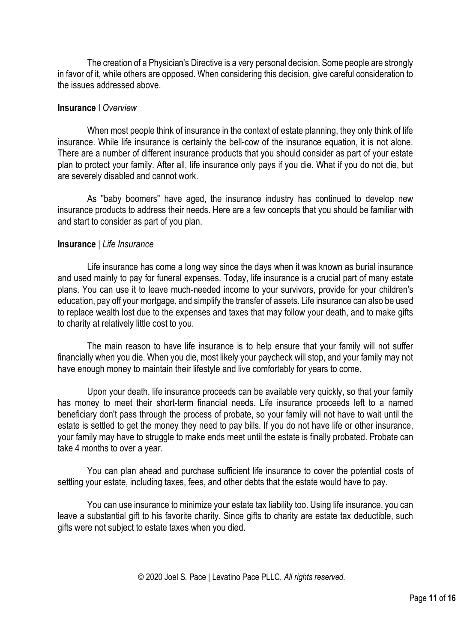The creation of a Physician's Directive is a very personal decision. Some people are strongly in favor of it, while others are opposed. When considering this decision, give careful consideration to the issues addressed above.

#### **Insurance** I *Overview*

When most people think of insurance in the context of estate planning, they only think of life insurance. While life insurance is certainly the bell-cow of the insurance equation, it is not alone. There are a number of different insurance products that you should consider as part of your estate plan to protect your family. After all, life insurance only pays if you die. What if you do not die, but are severely disabled and cannot work.

As "baby boomers" have aged, the insurance industry has continued to develop new insurance products to address their needs. Here are a few concepts that you should be familiar with and start to consider as part of you plan.

#### **Insurance** | *Life Insurance*

Life insurance has come a long way since the days when it was known as burial insurance and used mainly to pay for funeral expenses. Today, life insurance is a crucial part of many estate plans. You can use it to leave much-needed income to your survivors, provide for your children's education, pay off your mortgage, and simplify the transfer of assets. Life insurance can also be used to replace wealth lost due to the expenses and taxes that may follow your death, and to make gifts to charity at relatively little cost to you.

The main reason to have life insurance is to help ensure that your family will not suffer financially when you die. When you die, most likely your paycheck will stop, and your family may not have enough money to maintain their lifestyle and live comfortably for years to come.

Upon your death, life insurance proceeds can be available very quickly, so that your family has money to meet their short-term financial needs. Life insurance proceeds left to a named beneficiary don't pass through the process of probate, so your family will not have to wait until the estate is settled to get the money they need to pay bills. If you do not have life or other insurance, your family may have to struggle to make ends meet until the estate is finally probated. Probate can take 4 months to over a year.

You can plan ahead and purchase sufficient life insurance to cover the potential costs of settling your estate, including taxes, fees, and other debts that the estate would have to pay.

You can use insurance to minimize your estate tax liability too. Using life insurance, you can leave a substantial gift to his favorite charity. Since gifts to charity are estate tax deductible, such gifts were not subject to estate taxes when you died.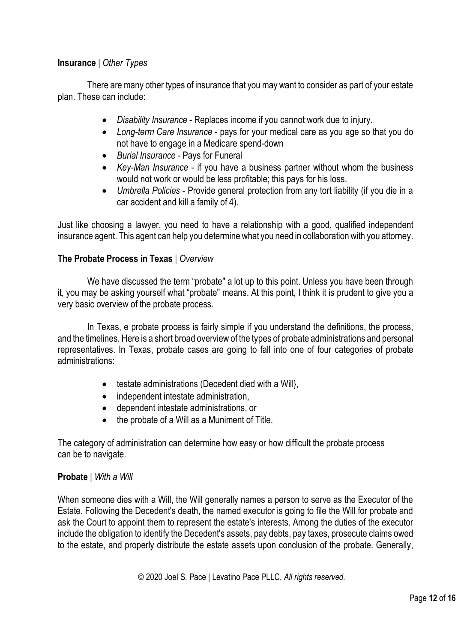# **Insurance** | *Other Types*

There are many other types of insurance that you may want to consider as part of your estate plan. These can include:

- *Disability Insurance* Replaces income if you cannot work due to injury.
- *Long-term Care Insurance* pays for your medical care as you age so that you do not have to engage in a Medicare spend-down
- *Burial Insurance* Pays for Funeral
- *Key-Man Insurance* if you have a business partner without whom the business would not work or would be less profitable; this pays for his loss.
- *Umbrella Policies* Provide general protection from any tort liability (if you die in a car accident and kill a family of 4).

Just like choosing a lawyer, you need to have a relationship with a good, qualified independent insurance agent. This agent can help you determine what you need in collaboration with you attorney.

### **The Probate Process in Texas** | *Overview*

We have discussed the term "probate" a lot up to this point. Unless you have been through it, you may be asking yourself what "probate" means. At this point, I think it is prudent to give you a very basic overview of the probate process.

In Texas, e probate process is fairly simple if you understand the definitions, the process, and the timelines. Here is a short broad overview of the types of probate administrations and personal representatives. In Texas, probate cases are going to fall into one of four categories of probate administrations:

- testate administrations (Decedent died with a Will},
- independent intestate administration,
- dependent intestate administrations, or
- the probate of a Will as a Muniment of Title.

The category of administration can determine how easy or how difficult the probate process can be to navigate.

### **Probate** | *With a Will*

When someone dies with a Will, the Will generally names a person to serve as the Executor of the Estate. Following the Decedent's death, the named executor is going to file the Will for probate and ask the Court to appoint them to represent the estate's interests. Among the duties of the executor include the obligation to identify the Decedent's assets, pay debts, pay taxes, prosecute claims owed to the estate, and properly distribute the estate assets upon conclusion of the probate. Generally,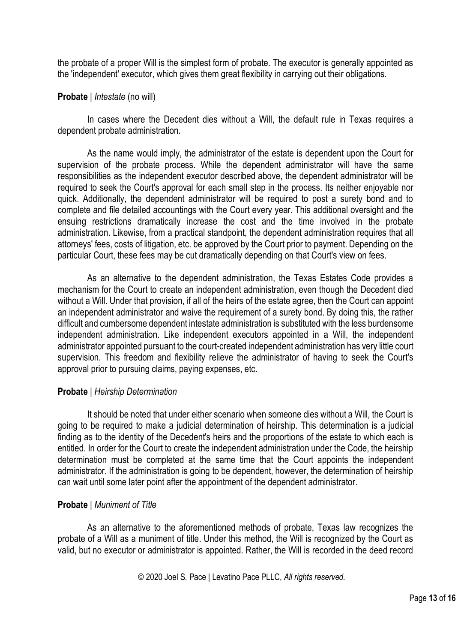the probate of a proper Will is the simplest form of probate. The executor is generally appointed as the 'independent' executor, which gives them great flexibility in carrying out their obligations.

#### **Probate** | *Intestate* (no will)

In cases where the Decedent dies without a Will, the default rule in Texas requires a dependent probate administration.

As the name would imply, the administrator of the estate is dependent upon the Court for supervision of the probate process. While the dependent administrator will have the same responsibilities as the independent executor described above, the dependent administrator will be required to seek the Court's approval for each small step in the process. Its neither enjoyable nor quick. Additionally, the dependent administrator will be required to post a surety bond and to complete and file detailed accountings with the Court every year. This additional oversight and the ensuing restrictions dramatically increase the cost and the time involved in the probate administration. Likewise, from a practical standpoint, the dependent administration requires that all attorneys' fees, costs of litigation, etc. be approved by the Court prior to payment. Depending on the particular Court, these fees may be cut dramatically depending on that Court's view on fees.

As an alternative to the dependent administration, the Texas Estates Code provides a mechanism for the Court to create an independent administration, even though the Decedent died without a Will. Under that provision, if all of the heirs of the estate agree, then the Court can appoint an independent administrator and waive the requirement of a surety bond. By doing this, the rather difficult and cumbersome dependent intestate administration is substituted with the less burdensome independent administration. Like independent executors appointed in a Will, the independent administrator appointed pursuant to the court-created independent administration has very little court supervision. This freedom and flexibility relieve the administrator of having to seek the Court's approval prior to pursuing claims, paying expenses, etc.

### **Probate** | *Heirship Determination*

It should be noted that under either scenario when someone dies without a Will, the Court is going to be required to make a judicial determination of heirship. This determination is a judicial finding as to the identity of the Decedent's heirs and the proportions of the estate to which each is entitled. In order for the Court to create the independent administration under the Code, the heirship determination must be completed at the same time that the Court appoints the independent administrator. If the administration is going to be dependent, however, the determination of heirship can wait until some later point after the appointment of the dependent administrator.

### **Probate** | *Muniment of Title*

As an alternative to the aforementioned methods of probate, Texas law recognizes the probate of a Will as a muniment of title. Under this method, the Will is recognized by the Court as valid, but no executor or administrator is appointed. Rather, the Will is recorded in the deed record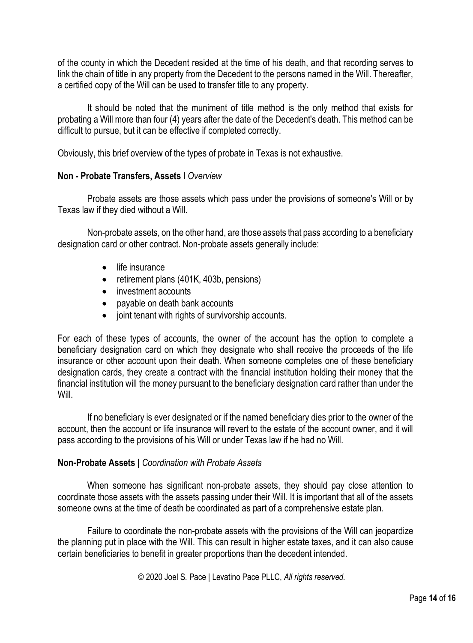of the county in which the Decedent resided at the time of his death, and that recording serves to link the chain of title in any property from the Decedent to the persons named in the Will. Thereafter, a certified copy of the Will can be used to transfer title to any property.

It should be noted that the muniment of title method is the only method that exists for probating a Will more than four (4) years after the date of the Decedent's death. This method can be difficult to pursue, but it can be effective if completed correctly.

Obviously, this brief overview of the types of probate in Texas is not exhaustive.

### **Non - Probate Transfers, Assets** I *Overview*

Probate assets are those assets which pass under the provisions of someone's Will or by Texas law if they died without a Will.

Non-probate assets, on the other hand, are those assets that pass according to a beneficiary designation card or other contract. Non-probate assets generally include:

- life insurance
- retirement plans (401K, 403b, pensions)
- investment accounts
- payable on death bank accounts
- joint tenant with rights of survivorship accounts.

For each of these types of accounts, the owner of the account has the option to complete a beneficiary designation card on which they designate who shall receive the proceeds of the life insurance or other account upon their death. When someone completes one of these beneficiary designation cards, they create a contract with the financial institution holding their money that the financial institution will the money pursuant to the beneficiary designation card rather than under the Will.

If no beneficiary is ever designated or if the named beneficiary dies prior to the owner of the account, then the account or life insurance will revert to the estate of the account owner, and it will pass according to the provisions of his Will or under Texas law if he had no Will.

### **Non-Probate Assets |** *Coordination with Probate Assets*

When someone has significant non-probate assets, they should pay close attention to coordinate those assets with the assets passing under their Will. It is important that all of the assets someone owns at the time of death be coordinated as part of a comprehensive estate plan.

Failure to coordinate the non-probate assets with the provisions of the Will can jeopardize the planning put in place with the Will. This can result in higher estate taxes, and it can also cause certain beneficiaries to benefit in greater proportions than the decedent intended.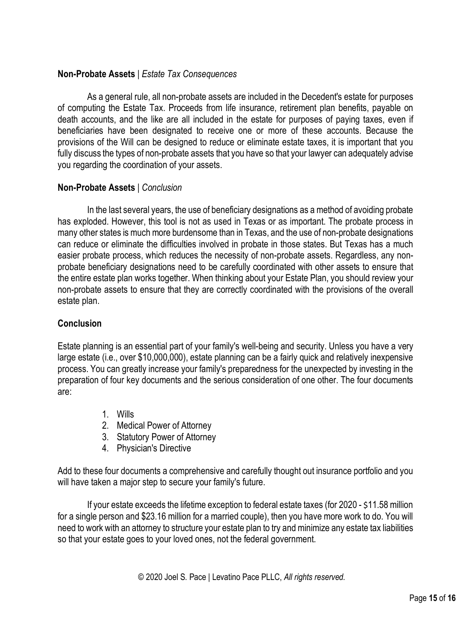# **Non-Probate Assets** | *Estate Tax Consequences*

As a general rule, all non-probate assets are included in the Decedent's estate for purposes of computing the Estate Tax. Proceeds from life insurance, retirement plan benefits, payable on death accounts, and the like are all included in the estate for purposes of paying taxes, even if beneficiaries have been designated to receive one or more of these accounts. Because the provisions of the Will can be designed to reduce or eliminate estate taxes, it is important that you fully discuss the types of non-probate assets that you have so that your lawyer can adequately advise you regarding the coordination of your assets.

### **Non-Probate Assets** | *Conclusion*

In the last several years, the use of beneficiary designations as a method of avoiding probate has exploded. However, this tool is not as used in Texas or as important. The probate process in many other states is much more burdensome than in Texas, and the use of non-probate designations can reduce or eliminate the difficulties involved in probate in those states. But Texas has a much easier probate process, which reduces the necessity of non-probate assets. Regardless, any nonprobate beneficiary designations need to be carefully coordinated with other assets to ensure that the entire estate plan works together. When thinking about your Estate Plan, you should review your non-probate assets to ensure that they are correctly coordinated with the provisions of the overall estate plan.

### **Conclusion**

Estate planning is an essential part of your family's well-being and security. Unless you have a very large estate (i.e., over \$10,000,000), estate planning can be a fairly quick and relatively inexpensive process. You can greatly increase your family's preparedness for the unexpected by investing in the preparation of four key documents and the serious consideration of one other. The four documents are:

- 1. Wills
- 2. Medical Power of Attorney
- 3. Statutory Power of Attorney
- 4. Physician's Directive

Add to these four documents a comprehensive and carefully thought out insurance portfolio and you will have taken a major step to secure your family's future.

If your estate exceeds the lifetime exception to federal estate taxes (for 2020 - \$11.58 million for a single person and \$23.16 million for a married couple), then you have more work to do. You will need to work with an attorney to structure your estate plan to try and minimize any estate tax liabilities so that your estate goes to your loved ones, not the federal government.